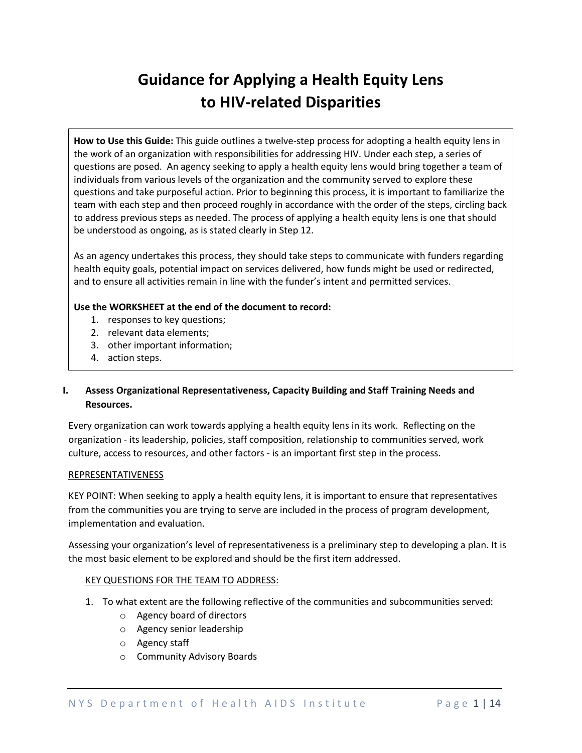# **Guidance for Applying a Health Equity Lens to HIV-related Disparities**

**How to Use this Guide:** This guide outlines a twelve-step process for adopting a health equity lens in the work of an organization with responsibilities for addressing HIV. Under each step, a series of questions are posed. An agency seeking to apply a health equity lens would bring together a team of individuals from various levels of the organization and the community served to explore these questions and take purposeful action. Prior to beginning this process, it is important to familiarize the team with each step and then proceed roughly in accordance with the order of the steps, circling back to address previous steps as needed. The process of applying a health equity lens is one that should be understood as ongoing, as is stated clearly in Step 12.

As an agency undertakes this process, they should take steps to communicate with funders regarding health equity goals, potential impact on services delivered, how funds might be used or redirected, and to ensure all activities remain in line with the funder's intent and permitted services.

# **Use the WORKSHEET at the end of the document to record:**

- 1. responses to key questions;
- 2. relevant data elements;
- 3. other important information;
- 4. action steps.

# **I. Assess Organizational Representativeness, Capacity Building and Staff Training Needs and Resources.**

Every organization can work towards applying a health equity lens in its work. Reflecting on the organization - its leadership, policies, staff composition, relationship to communities served, work culture, access to resources, and other factors - is an important first step in the process.

# REPRESENTATIVENESS

KEY POINT: When seeking to apply a health equity lens, it is important to ensure that representatives from the communities you are trying to serve are included in the process of program development, implementation and evaluation.

Assessing your organization's level of representativeness is a preliminary step to developing a plan. It is the most basic element to be explored and should be the first item addressed.

- 1. To what extent are the following reflective of the communities and subcommunities served:
	- o Agency board of directors
	- o Agency senior leadership
	- o Agency staff
	- o Community Advisory Boards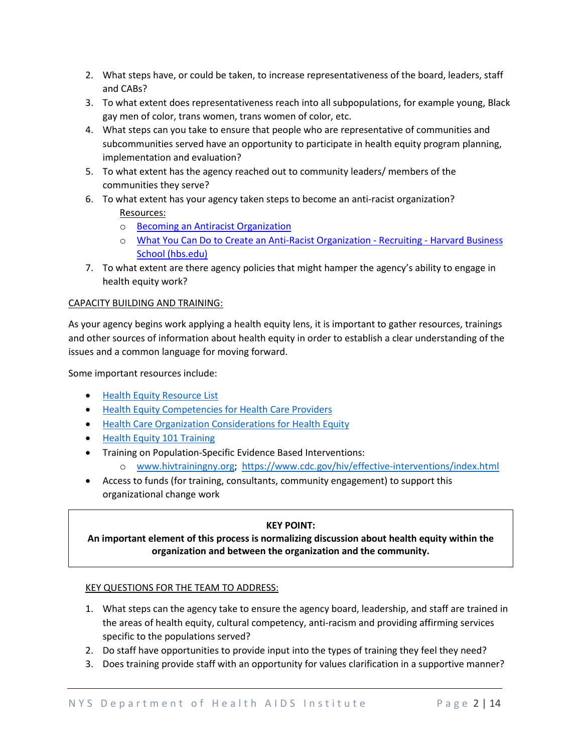- 2. What steps have, or could be taken, to increase representativeness of the board, leaders, staff and CABs?
- 3. To what extent does representativeness reach into all subpopulations, for example young, Black gay men of color, trans women, trans women of color, etc.
- 4. What steps can you take to ensure that people who are representative of communities and subcommunities served have an opportunity to participate in health equity program planning, implementation and evaluation?
- 5. To what extent has the agency reached out to community leaders/ members of the communities they serve?
- 6. To what extent has your agency taken steps to become an anti-racist organization? Resources:
	- o [Becoming an Antiracist Organization](https://cdn.ymaws.com/www.naswnyc.org/resource/resmgr/currents/2020/MPG_Full_Article_-_Summer202.pdf)
	- o [What You Can Do to Create an Anti-Racist Organization -](https://www.hbs.edu/recruiting/insights-and-advice/blog/post/what-you-can-do-to-create-an-anti-racist-organization) Recruiting Harvard Business [School \(hbs.edu\)](https://www.hbs.edu/recruiting/insights-and-advice/blog/post/what-you-can-do-to-create-an-anti-racist-organization)
- 7. To what extent are there agency policies that might hamper the agency's ability to engage in health equity work?

# CAPACITY BUILDING AND TRAINING:

As your agency begins work applying a health equity lens, it is important to gather resources, trainings and other sources of information about health equity in order to establish a clear understanding of the issues and a common language for moving forward.

Some important resources include:

- [Health Equity Resource List](https://www.health.ny.gov/diseases/aids/ending_the_epidemic/docs/health_equity.pdf)
- [Health Equity Competencies for Health Care Providers](https://www.health.ny.gov/diseases/aids/ending_the_epidemic/docs/health_equity_providers.pdf)
- [Health Care Organization Considerations for Health Equity](https://www.health.ny.gov/diseases/aids/ending_the_epidemic/docs/organization_considerations.pdf)
- [Health Equity 101 Training](https://www.hivtrainingny.org/User/ConfirmCourse/3644)
- Training on Population-Specific Evidence Based Interventions:
	- o [www.hivtrainingny.org;](http://www.hivtrainingny.org/)<https://www.cdc.gov/hiv/effective-interventions/index.html>
- Access to funds (for training, consultants, community engagement) to support this organizational change work

# **KEY POINT:**

# **An important element of this process is normalizing discussion about health equity within the organization and between the organization and the community.**

- 1. What steps can the agency take to ensure the agency board, leadership, and staff are trained in the areas of health equity, cultural competency, anti-racism and providing affirming services specific to the populations served?
- 2. Do staff have opportunities to provide input into the types of training they feel they need?
- 3. Does training provide staff with an opportunity for values clarification in a supportive manner?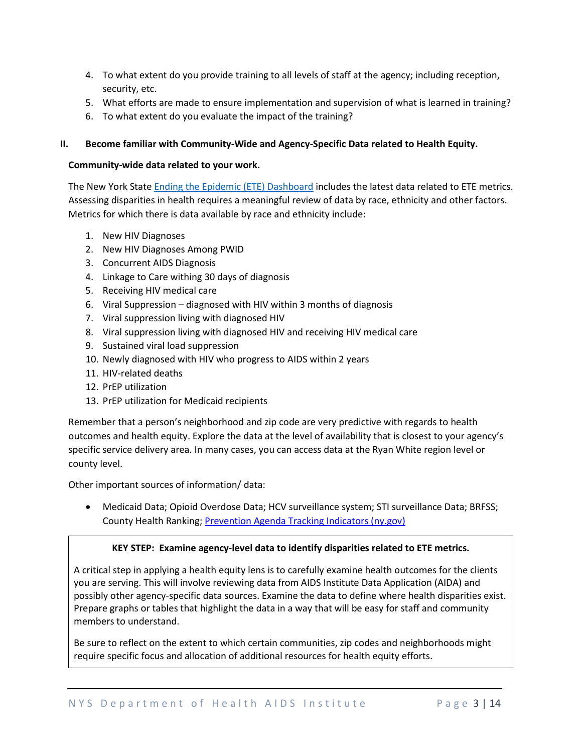- 4. To what extent do you provide training to all levels of staff at the agency; including reception, security, etc.
- 5. What efforts are made to ensure implementation and supervision of what is learned in training?
- 6. To what extent do you evaluate the impact of the training?

# **II. Become familiar with Community-Wide and Agency-Specific Data related to Health Equity.**

### **Community-wide data related to your work.**

The New York State [Ending the Epidemic \(ETE\)](https://etedashboardny.org/) Dashboard includes the latest data related to ETE metrics. Assessing disparities in health requires a meaningful review of data by race, ethnicity and other factors. Metrics for which there is data available by race and ethnicity include:

- 1. New HIV Diagnoses
- 2. New HIV Diagnoses Among PWID
- 3. Concurrent AIDS Diagnosis
- 4. Linkage to Care withing 30 days of diagnosis
- 5. Receiving HIV medical care
- 6. Viral Suppression diagnosed with HIV within 3 months of diagnosis
- 7. Viral suppression living with diagnosed HIV
- 8. Viral suppression living with diagnosed HIV and receiving HIV medical care
- 9. Sustained viral load suppression
- 10. Newly diagnosed with HIV who progress to AIDS within 2 years
- 11. HIV-related deaths
- 12. PrEP utilization
- 13. PrEP utilization for Medicaid recipients

Remember that a person's neighborhood and zip code are very predictive with regards to health outcomes and health equity. Explore the data at the level of availability that is closest to your agency's specific service delivery area. In many cases, you can access data at the Ryan White region level or county level.

Other important sources of information/ data:

• Medicaid Data; Opioid Overdose Data; HCV surveillance system; STI surveillance Data; BRFSS; County Health Ranking[; Prevention Agenda Tracking](https://www.health.ny.gov/prevention/prevention_agenda/2013-2017/indicators/2013/indicator_map.htm) Indicators (ny.gov)

# **KEY STEP: Examine agency-level data to identify disparities related to ETE metrics.**

A critical step in applying a health equity lens is to carefully examine health outcomes for the clients you are serving. This will involve reviewing data from AIDS Institute Data Application (AIDA) and possibly other agency-specific data sources. Examine the data to define where health disparities exist. Prepare graphs or tables that highlight the data in a way that will be easy for staff and community members to understand.

Be sure to reflect on the extent to which certain communities, zip codes and neighborhoods might require specific focus and allocation of additional resources for health equity efforts.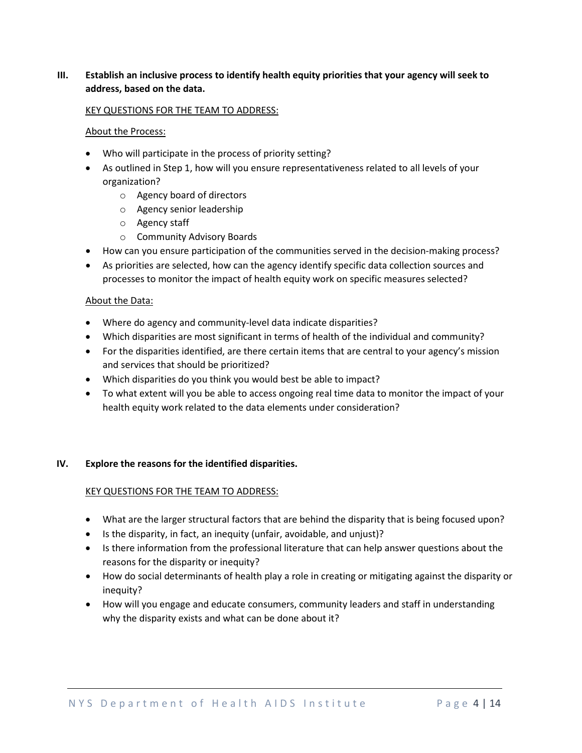# **III. Establish an inclusive process to identify health equity priorities that your agency will seek to address, based on the data.**

#### KEY QUESTIONS FOR THE TEAM TO ADDRESS:

#### About the Process:

- Who will participate in the process of priority setting?
- As outlined in Step 1, how will you ensure representativeness related to all levels of your organization?
	- o Agency board of directors
	- o Agency senior leadership
	- o Agency staff
	- o Community Advisory Boards
- How can you ensure participation of the communities served in the decision-making process?
- As priorities are selected, how can the agency identify specific data collection sources and processes to monitor the impact of health equity work on specific measures selected?

#### About the Data:

- Where do agency and community-level data indicate disparities?
- Which disparities are most significant in terms of health of the individual and community?
- For the disparities identified, are there certain items that are central to your agency's mission and services that should be prioritized?
- Which disparities do you think you would best be able to impact?
- To what extent will you be able to access ongoing real time data to monitor the impact of your health equity work related to the data elements under consideration?

# **IV. Explore the reasons for the identified disparities.**

- What are the larger structural factors that are behind the disparity that is being focused upon?
- Is the disparity, in fact, an inequity (unfair, avoidable, and unjust)?
- Is there information from the professional literature that can help answer questions about the reasons for the disparity or inequity?
- How do social determinants of health play a role in creating or mitigating against the disparity or inequity?
- How will you engage and educate consumers, community leaders and staff in understanding why the disparity exists and what can be done about it?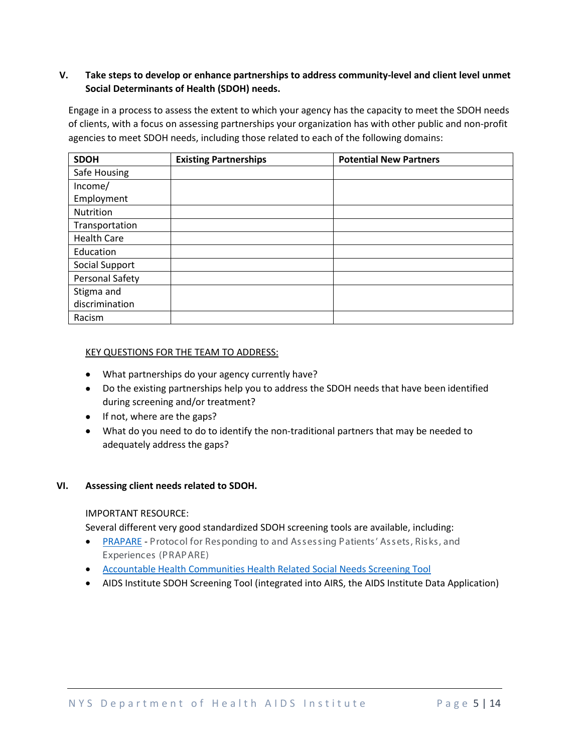# **V. Take steps to develop or enhance partnerships to address community-level and client level unmet Social Determinants of Health (SDOH) needs.**

Engage in a process to assess the extent to which your agency has the capacity to meet the SDOH needs of clients, with a focus on assessing partnerships your organization has with other public and non-profit agencies to meet SDOH needs, including those related to each of the following domains:

| <b>SDOH</b>        | <b>Existing Partnerships</b> | <b>Potential New Partners</b> |
|--------------------|------------------------------|-------------------------------|
| Safe Housing       |                              |                               |
| Income/            |                              |                               |
| Employment         |                              |                               |
| Nutrition          |                              |                               |
| Transportation     |                              |                               |
| <b>Health Care</b> |                              |                               |
| Education          |                              |                               |
| Social Support     |                              |                               |
| Personal Safety    |                              |                               |
| Stigma and         |                              |                               |
| discrimination     |                              |                               |
| Racism             |                              |                               |

#### KEY QUESTIONS FOR THE TEAM TO ADDRESS:

- What partnerships do your agency currently have?
- Do the existing partnerships help you to address the SDOH needs that have been identified during screening and/or treatment?
- If not, where are the gaps?
- What do you need to do to identify the non-traditional partners that may be needed to adequately address the gaps?

# **VI. Assessing client needs related to SDOH.**

#### IMPORTANT RESOURCE:

Several different very good standardized SDOH screening tools are available, including:

- [PRAPARE](https://www.nachc.org/research-and-data/prapare/about-the-prapare-assessment-tool/) Protocol for Responding to and Assessing Patients' Assets, Risks, and Experiences (PRAPARE)
- [Accountable Health Communities Health Related Social Needs Screening Tool](https://innovation.cms.gov/innovation-models/ahcm)
- AIDS Institute SDOH Screening Tool (integrated into AIRS, the AIDS Institute Data Application)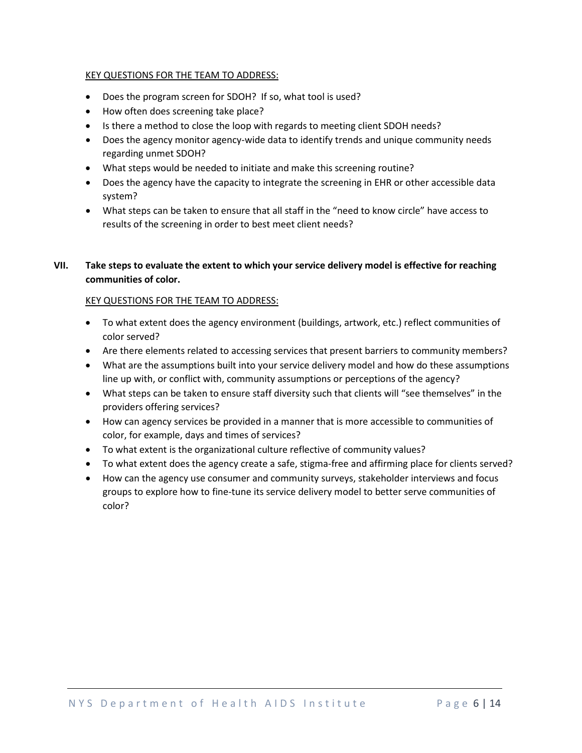### KEY QUESTIONS FOR THE TEAM TO ADDRESS:

- Does the program screen for SDOH? If so, what tool is used?
- How often does screening take place?
- Is there a method to close the loop with regards to meeting client SDOH needs?
- Does the agency monitor agency-wide data to identify trends and unique community needs regarding unmet SDOH?
- What steps would be needed to initiate and make this screening routine?
- Does the agency have the capacity to integrate the screening in EHR or other accessible data system?
- What steps can be taken to ensure that all staff in the "need to know circle" have access to results of the screening in order to best meet client needs?

# **VII. Take steps to evaluate the extent to which your service delivery model is effective for reaching communities of color.**

- To what extent does the agency environment (buildings, artwork, etc.) reflect communities of color served?
- Are there elements related to accessing services that present barriers to community members?
- What are the assumptions built into your service delivery model and how do these assumptions line up with, or conflict with, community assumptions or perceptions of the agency?
- What steps can be taken to ensure staff diversity such that clients will "see themselves" in the providers offering services?
- How can agency services be provided in a manner that is more accessible to communities of color, for example, days and times of services?
- To what extent is the organizational culture reflective of community values?
- To what extent does the agency create a safe, stigma-free and affirming place for clients served?
- How can the agency use consumer and community surveys, stakeholder interviews and focus groups to explore how to fine-tune its service delivery model to better serve communities of color?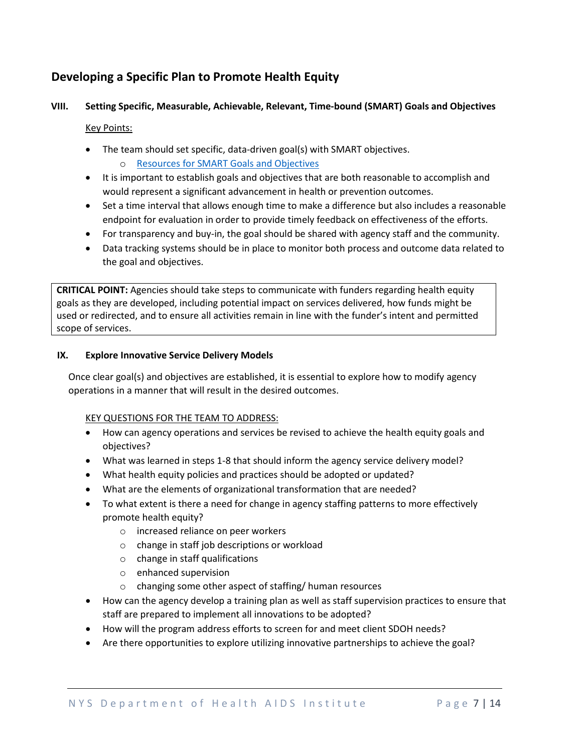# **Developing a Specific Plan to Promote Health Equity**

# **VIII. Setting Specific, Measurable, Achievable, Relevant, Time-bound (SMART) Goals and Objectives**

Key Points:

- The team should set specific, data-driven goal(s) with SMART objectives.
	- o [Resources for SMART Goals and Objectives](https://www.cdc.gov/phcommunities/resourcekit/evaluate/smart_objectives.html)
- It is important to establish goals and objectives that are both reasonable to accomplish and would represent a significant advancement in health or prevention outcomes.
- Set a time interval that allows enough time to make a difference but also includes a reasonable endpoint for evaluation in order to provide timely feedback on effectiveness of the efforts.
- For transparency and buy-in, the goal should be shared with agency staff and the community.
- Data tracking systems should be in place to monitor both process and outcome data related to the goal and objectives.

**CRITICAL POINT:** Agencies should take steps to communicate with funders regarding health equity goals as they are developed, including potential impact on services delivered, how funds might be used or redirected, and to ensure all activities remain in line with the funder's intent and permitted scope of services.

# **IX. Explore Innovative Service Delivery Models**

Once clear goal(s) and objectives are established, it is essential to explore how to modify agency operations in a manner that will result in the desired outcomes.

- How can agency operations and services be revised to achieve the health equity goals and objectives?
- What was learned in steps 1-8 that should inform the agency service delivery model?
- What health equity policies and practices should be adopted or updated?
- What are the elements of organizational transformation that are needed?
- To what extent is there a need for change in agency staffing patterns to more effectively promote health equity?
	- o increased reliance on peer workers
	- o change in staff job descriptions or workload
	- o change in staff qualifications
	- o enhanced supervision
	- o changing some other aspect of staffing/ human resources
- How can the agency develop a training plan as well as staff supervision practices to ensure that staff are prepared to implement all innovations to be adopted?
- How will the program address efforts to screen for and meet client SDOH needs?
- Are there opportunities to explore utilizing innovative partnerships to achieve the goal?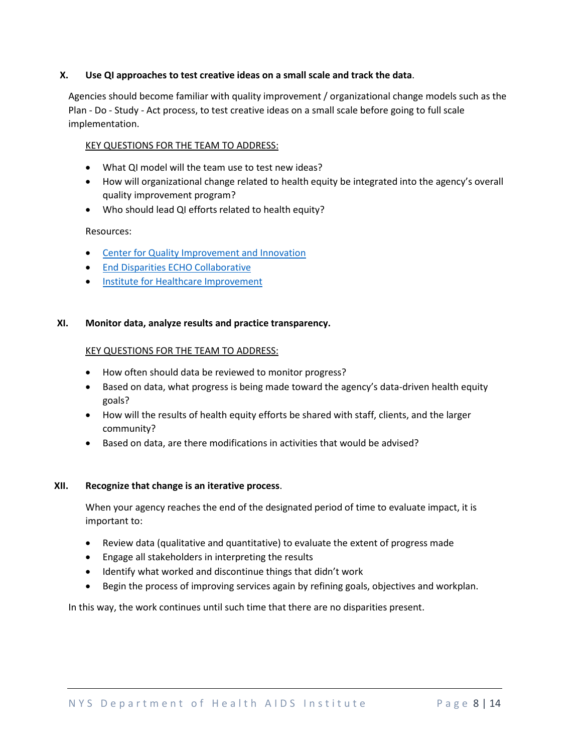# **X. Use QI approaches to test creative ideas on a small scale and track the data**.

Agencies should become familiar with quality improvement / organizational change models such as the Plan - Do - Study - Act process, to test creative ideas on a small scale before going to full scale implementation.

#### KEY QUESTIONS FOR THE TEAM TO ADDRESS:

- What QI model will the team use to test new ideas?
- How will organizational change related to health equity be integrated into the agency's overall quality improvement program?
- Who should lead QI efforts related to health equity?

#### Resources:

- [Center for Quality Improvement and Innovation](https://targethiv.org/cqii)
- [End Disparities ECHO Collaborative](https://targethiv.org/cqii/end-disparities-echo-collaborative)
- [Institute for Healthcare Improvement](http://www.ihi.org/resources/Pages/Tools/PlanDoStudyActWorksheet.aspx)

#### **XI. Monitor data, analyze results and practice transparency.**

#### KEY QUESTIONS FOR THE TEAM TO ADDRESS:

- How often should data be reviewed to monitor progress?
- Based on data, what progress is being made toward the agency's data-driven health equity goals?
- How will the results of health equity efforts be shared with staff, clients, and the larger community?
- Based on data, are there modifications in activities that would be advised?

# **XII. Recognize that change is an iterative process**.

When your agency reaches the end of the designated period of time to evaluate impact, it is important to:

- Review data (qualitative and quantitative) to evaluate the extent of progress made
- Engage all stakeholders in interpreting the results
- Identify what worked and discontinue things that didn't work
- Begin the process of improving services again by refining goals, objectives and workplan.

In this way, the work continues until such time that there are no disparities present.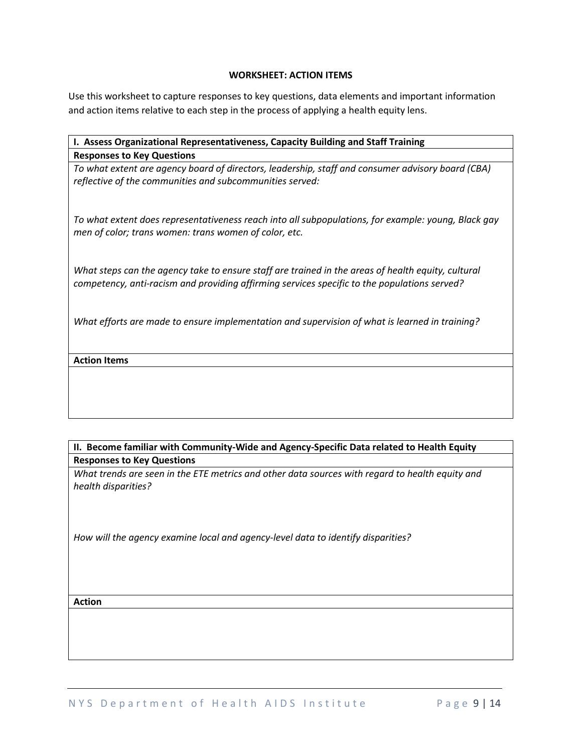#### **WORKSHEET: ACTION ITEMS**

Use this worksheet to capture responses to key questions, data elements and important information and action items relative to each step in the process of applying a health equity lens.

| I. Assess Organizational Representativeness, Capacity Building and Staff Training                   |  |  |
|-----------------------------------------------------------------------------------------------------|--|--|
| <b>Responses to Key Questions</b>                                                                   |  |  |
| To what extent are agency board of directors, leadership, staff and consumer advisory board (CBA)   |  |  |
| reflective of the communities and subcommunities served:                                            |  |  |
|                                                                                                     |  |  |
|                                                                                                     |  |  |
| To what extent does representativeness reach into all subpopulations, for example: young, Black gay |  |  |
| men of color; trans women: trans women of color, etc.                                               |  |  |
|                                                                                                     |  |  |
| What steps can the agency take to ensure staff are trained in the areas of health equity, cultural  |  |  |
| competency, anti-racism and providing affirming services specific to the populations served?        |  |  |
|                                                                                                     |  |  |
|                                                                                                     |  |  |
| What efforts are made to ensure implementation and supervision of what is learned in training?      |  |  |
|                                                                                                     |  |  |
| <b>Action Items</b>                                                                                 |  |  |
|                                                                                                     |  |  |
|                                                                                                     |  |  |
|                                                                                                     |  |  |
|                                                                                                     |  |  |

# **II. Become familiar with Community-Wide and Agency-Specific Data related to Health Equity Responses to Key Questions**

*What trends are seen in the ETE metrics and other data sources with regard to health equity and health disparities?* 

*How will the agency examine local and agency-level data to identify disparities?* 

# **Action**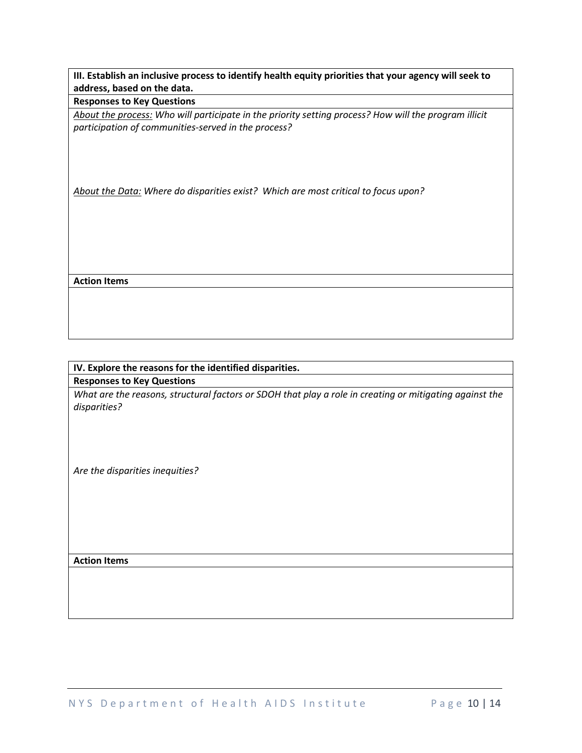**III. Establish an inclusive process to identify health equity priorities that your agency will seek to address, based on the data.** 

**Responses to Key Questions**

*About the process: Who will participate in the priority setting process? How will the program illicit participation of communities-served in the process?* 

*About the Data: Where do disparities exist? Which are most critical to focus upon?* 

**Action Items**

# **IV. Explore the reasons for the identified disparities. Responses to Key Questions**

*What are the reasons, structural factors or SDOH that play a role in creating or mitigating against the disparities?*

*Are the disparities inequities?*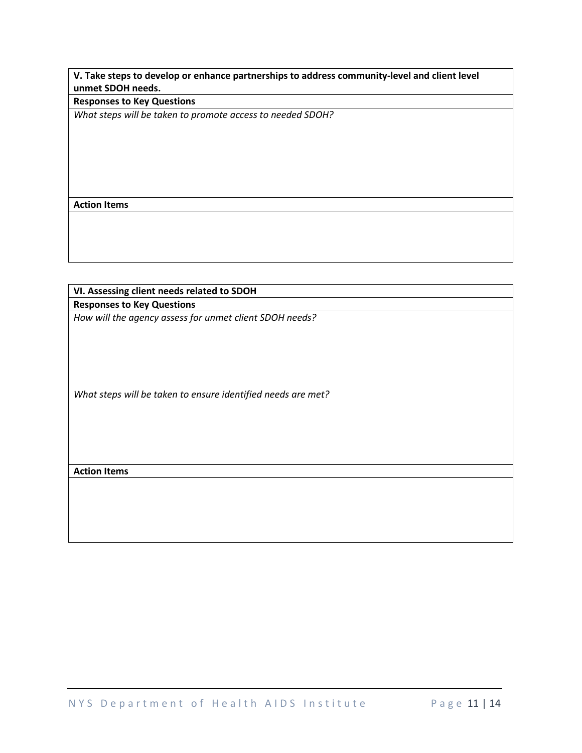**V. Take steps to develop or enhance partnerships to address community-level and client level unmet SDOH needs.**

**Responses to Key Questions**

*What steps will be taken to promote access to needed SDOH?*

**Action Items**

**VI. Assessing client needs related to SDOH Responses to Key Questions** *How will the agency assess for unmet client SDOH needs? What steps will be taken to ensure identified needs are met?* **Action Items**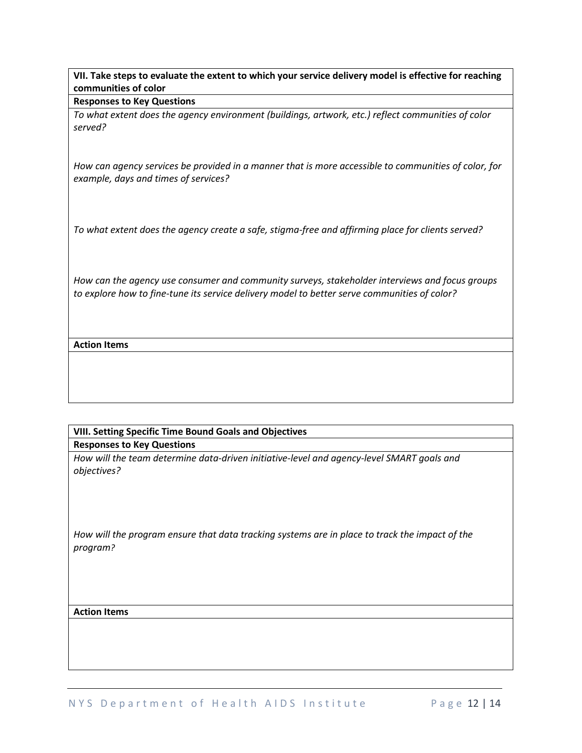**VII. Take steps to evaluate the extent to which your service delivery model is effective for reaching communities of color**

#### **Responses to Key Questions**

*To what extent does the agency environment (buildings, artwork, etc.) reflect communities of color served?* 

*How can agency services be provided in a manner that is more accessible to communities of color, for example, days and times of services?*

*To what extent does the agency create a safe, stigma-free and affirming place for clients served?*

*How can the agency use consumer and community surveys, stakeholder interviews and focus groups to explore how to fine-tune its service delivery model to better serve communities of color?*

# **Action Items**

# **VIII. Setting Specific Time Bound Goals and Objectives Responses to Key Questions**

*How will the team determine data-driven initiative-level and agency-level SMART goals and objectives?* 

*How will the program ensure that data tracking systems are in place to track the impact of the program?*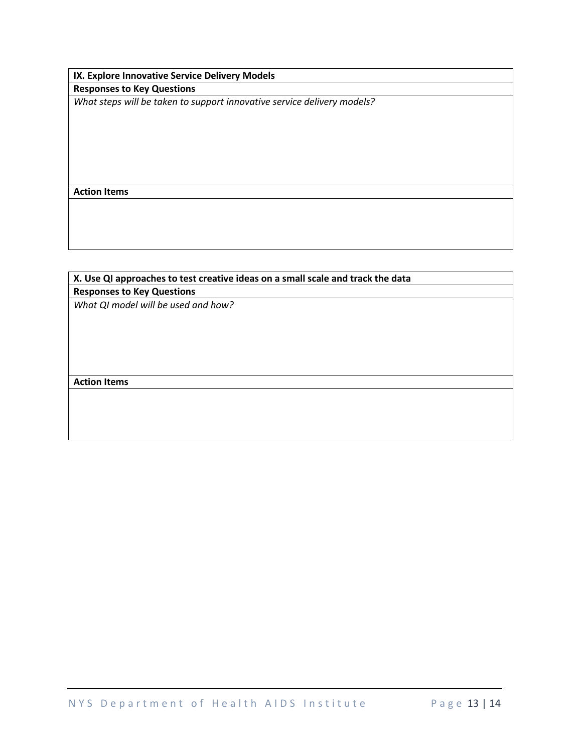**IX. Explore Innovative Service Delivery Models Responses to Key Questions**

*What steps will be taken to support innovative service delivery models?*

**Action Items**

# **X. Use QI approaches to test creative ideas on a small scale and track the data Responses to Key Questions**

*What QI model will be used and how?*